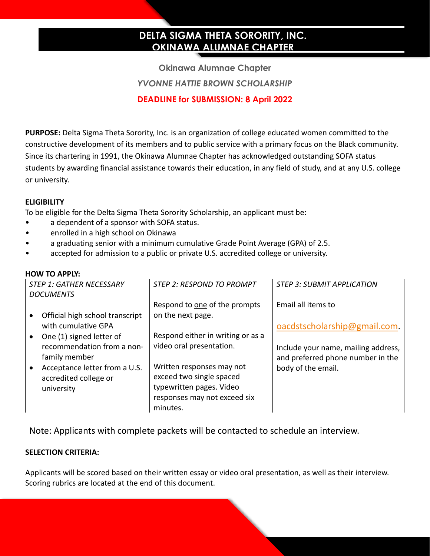# **DELTA SIGMA THETA SORORITY, INC. OKINAWA ALUMNAE CHAPTER**

**Okinawa Alumnae Chapter** *YVONNE HATTIE BROWN SCHOLARSHIP* **DEADLINE for SUBMISSION: 8 April 2022**

**PURPOSE:** Delta Sigma Theta Sorority, Inc. is an organization of college educated women committed to the constructive development of its members and to public service with a primary focus on the Black community. Since its chartering in 1991, the Okinawa Alumnae Chapter has acknowledged outstanding SOFA status students by awarding financial assistance towards their education, in any field of study, and at any U.S. college or university.

### **ELIGIBILITY**

To be eligible for the Delta Sigma Theta Sorority Scholarship, an applicant must be:

- a dependent of a sponsor with SOFA status.
- enrolled in a high school on Okinawa
- a graduating senior with a minimum cumulative Grade Point Average (GPA) of 2.5.
- accepted for admission to a public or private U.S. accredited college or university.

#### **HOW TO APPLY:**

| STEP 1: GATHER NECESSARY              | <b>STEP 2: RESPOND TO PROMPT</b>  | <b>STEP 3: SUBMIT APPLICATION</b>   |
|---------------------------------------|-----------------------------------|-------------------------------------|
| <b>DOCUMENTS</b>                      |                                   |                                     |
|                                       | Respond to one of the prompts     | Email all items to                  |
| Official high school transcript       | on the next page.                 |                                     |
| with cumulative GPA                   |                                   | oacdstscholarship@gmail.com         |
| One (1) signed letter of<br>$\bullet$ | Respond either in writing or as a |                                     |
| recommendation from a non-            | video oral presentation.          | Include your name, mailing address, |
| family member                         |                                   | and preferred phone number in the   |
| Acceptance letter from a U.S.         | Written responses may not         | body of the email.                  |
| accredited college or                 | exceed two single spaced          |                                     |
| university                            | typewritten pages. Video          |                                     |
|                                       | responses may not exceed six      |                                     |
|                                       | minutes.                          |                                     |

Note: Applicants with complete packets will be contacted to schedule an interview.

### **SELECTION CRITERIA:**

Applicants will be scored based on their written essay or video oral presentation, as well as their interview. Scoring rubrics are located at the end of this document.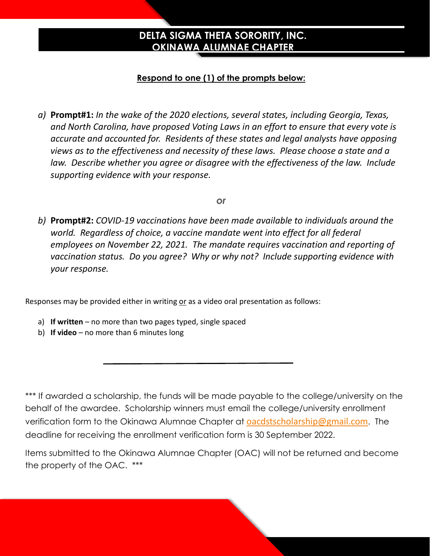# **DELTA SIGMA THETA SORORITY, INC. OKINAWA ALUMNAE CHAPTER**

# **Respond to one (1) of the prompts below:**

*a)* **Prompt#1:** *In the wake of the 2020 elections, several states, including Georgia, Texas, and North Carolina, have proposed Voting Laws in an effort to ensure that every vote is accurate and accounted for. Residents of these states and legal analysts have opposing views as to the effectiveness and necessity of these laws. Please choose a state and a law. Describe whether you agree or disagree with the effectiveness of the law. Include supporting evidence with your response.*

*or*

*b)* **Prompt#2:** *COVID-19 vaccinations have been made available to individuals around the world. Regardless of choice, a vaccine mandate went into effect for all federal employees on November 22, 2021. The mandate requires vaccination and reporting of vaccination status. Do you agree? Why or why not? Include supporting evidence with your response.*

Responses may be provided either in writing or as a video oral presentation as follows:

- a) **If written** no more than two pages typed, single spaced
- b) **If video** no more than 6 minutes long

\*\*\* If awarded a scholarship, the funds will be made payable to the college/university on the behalf of the awardee. Scholarship winners must email the college/university enrollment verification form to the Okinawa Alumnae Chapter at **oacdstscholarship@gmail.com.** The deadline for receiving the enrollment verification form is 30 September 2022.

Items submitted to the Okinawa Alumnae Chapter (OAC) will not be returned and become the property of the OAC. \*\*\*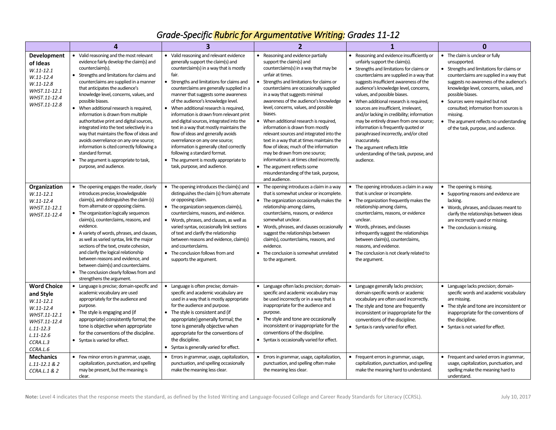# *Grade-Specific Rubric for Argumentative Writing: Grades 11-12*

|                                                                                                                                                       | Δ                                                                                                                                                                                                                                                                                                                                                                                                                                                                                                                                                                                                                                                                                                      | 3                                                                                                                                                                                                                                                                                                                                                                                                                                                                                                                                                                                                                                                                                                                     | 2                                                                                                                                                                                                                                                                                                                                                                                                                                                                                                                                                                                                                                                                                                                                          | 1                                                                                                                                                                                                                                                                                                                                                                                                                                                                                                                                                                                                                                                               | $\mathbf{0}$                                                                                                                                                                                                                                                                                                                                                                                                              |
|-------------------------------------------------------------------------------------------------------------------------------------------------------|--------------------------------------------------------------------------------------------------------------------------------------------------------------------------------------------------------------------------------------------------------------------------------------------------------------------------------------------------------------------------------------------------------------------------------------------------------------------------------------------------------------------------------------------------------------------------------------------------------------------------------------------------------------------------------------------------------|-----------------------------------------------------------------------------------------------------------------------------------------------------------------------------------------------------------------------------------------------------------------------------------------------------------------------------------------------------------------------------------------------------------------------------------------------------------------------------------------------------------------------------------------------------------------------------------------------------------------------------------------------------------------------------------------------------------------------|--------------------------------------------------------------------------------------------------------------------------------------------------------------------------------------------------------------------------------------------------------------------------------------------------------------------------------------------------------------------------------------------------------------------------------------------------------------------------------------------------------------------------------------------------------------------------------------------------------------------------------------------------------------------------------------------------------------------------------------------|-----------------------------------------------------------------------------------------------------------------------------------------------------------------------------------------------------------------------------------------------------------------------------------------------------------------------------------------------------------------------------------------------------------------------------------------------------------------------------------------------------------------------------------------------------------------------------------------------------------------------------------------------------------------|---------------------------------------------------------------------------------------------------------------------------------------------------------------------------------------------------------------------------------------------------------------------------------------------------------------------------------------------------------------------------------------------------------------------------|
| <b>Development</b><br>of Ideas<br>$W.11 - 12.1$<br>W.11-12.4<br>$W.11 - 12.8$<br>WHST.11-12.1<br>WHST.11-12.4<br>WHST.11-12.8                         | • Valid reasoning and the most relevant<br>evidence fairly develop the claim(s) and<br>counterclaim(s).<br>• Strengths and limitations for claims and<br>counterclaims are supplied in a manner<br>that anticipates the audience's<br>knowledge level, concerns, values, and<br>possible biases.<br>• When additional research is required,<br>information is drawn from multiple<br>authoritative print and digital sources,<br>integrated into the text selectively in a<br>way that maintains the flow of ideas and<br>avoids overreliance on any one source;<br>information is cited correctly following a<br>standard format.<br>• The argument is appropriate to task,<br>purpose, and audience. | • Valid reasoning and relevant evidence<br>generally support the claim(s) and<br>counterclaim(s) in a way that is mostly<br>fair.<br>Strengths and limitations for claims and<br>counterclaims are generally supplied in a<br>manner that suggests some awareness<br>of the audience's knowledge level.<br>• When additional research is required,<br>information is drawn from relevant print<br>and digital sources, integrated into the<br>text in a way that mostly maintains the<br>flow of ideas and generally avoids<br>overreliance on any one source;<br>information is generally cited correctly<br>following a standard format.<br>• The argument is mostly appropriate to<br>task, purpose, and audience. | Reasoning and evidence partially<br>support the claim(s) and<br>counterclaims(s) in a way that may be<br>unfair at times.<br>Strengths and limitations for claims or<br>counterclaims are occasionally supplied<br>in a way that suggests minimal<br>awareness of the audience's knowledge<br>level, concerns, values, and possible<br>biases.<br>• When additional research is required,<br>information is drawn from mostly<br>relevant sources and integrated into the<br>text in a way that at times maintains the<br>flow of ideas; much of the information<br>may be drawn from one source;<br>information is at times cited incorrectly.<br>• The argument reflects some<br>misunderstanding of the task, purpose,<br>and audience. | • Reasoning and evidence insufficiently or<br>unfairly support the claim(s).<br>• Strengths and limitations for claims or<br>counterclaims are supplied in a way that<br>suggests insufficient awareness of the<br>audience's knowledge level, concerns,<br>values, and possible biases.<br>• When additional research is required,<br>sources are insufficient, irrelevant,<br>and/or lacking in credibility; information<br>may be entirely drawn from one source;<br>information is frequently quoted or<br>paraphrased incorrectly, and/or cited<br>inaccurately.<br>• The argument reflects little<br>understanding of the task, purpose, and<br>audience. | • The claim is unclear or fully<br>unsupported.<br>Strengths and limitations for claims or<br>counterclaims are supplied in a way that<br>suggests no awareness of the audience's<br>knowledge level, concerns, values, and<br>possible biases.<br>Sources were required but not<br>consulted; information from sources is<br>missing.<br>• The argument reflects no understanding<br>of the task, purpose, and audience. |
| Organization<br>$W.11 - 12.1$<br>W.11-12.4<br>WHST.11-12.1<br>WHST.11-12.4                                                                            | • The opening engages the reader, clearly<br>introduces precise, knowledgeable<br>claim(s), and distinguishes the claim (s)<br>from alternate or opposing claims.<br>• The organization logically sequences<br>claim(s), counterclaims, reasons, and<br>evidence.<br>• A variety of words, phrases, and clauses,<br>as well as varied syntax, link the major<br>sections of the text, create cohesion,<br>and clarify the logical relationship<br>between reasons and evidence, and<br>between claim(s) and counterclaims.<br>• The conclusion clearly follows from and<br>strengthens the argument.                                                                                                   | The opening introduces the claim(s) and<br>distinguishes the claim (s) from alternate<br>or opposing claim.<br>• The organization sequences claim(s),<br>counterclaims, reasons, and evidence.<br>• Words, phrases, and clauses, as well as<br>varied syntax, occasionally link sections<br>of text and clarify the relationship<br>between reasons and evidence, claim(s)<br>and counterclaims.<br>• The conclusion follows from and<br>supports the argument.                                                                                                                                                                                                                                                       | The opening introduces a claim in a way<br>that is somewhat unclear or incomplete.<br>• The organization occasionally makes the<br>relationship among claims,<br>counterclaims, reasons, or evidence<br>somewhat unclear.<br>Words, phrases, and clauses occasionally<br>suggest the relationships between<br>claim(s), counterclaims, reasons, and<br>evidence.<br>• The conclusion is somewhat unrelated<br>to the argument.                                                                                                                                                                                                                                                                                                             | • The opening introduces a claim in a way<br>that is unclear or incomplete.<br>• The organization frequently makes the<br>relationship among claims,<br>counterclaims, reasons, or evidence<br>unclear.<br>Words, phrases, and clauses<br>$\bullet$<br>infrequently suggest the relationships<br>between claim(s), counterclaims,<br>reasons, and evidence.<br>• The conclusion is not clearly related to<br>the argument.                                                                                                                                                                                                                                      | • The opening is missing.<br>• Supporting reasons and evidence are<br>lacking.<br>• Words, phrases, and clauses meant to<br>clarify the relationships between ideas<br>are incorrectly used or missing.<br>• The conclusion is missing.                                                                                                                                                                                   |
| <b>Word Choice</b><br>and Style<br>$W.11-12.1$<br>W.11-12.4<br>WHST.11-12.1<br>WHST.11-12.4<br>$L.11 - 12.3$<br>$L.11 - 12.6$<br>CCRA.L.3<br>CCRA.L.6 | • Language is precise; domain-specific and<br>academic vocabulary are used<br>appropriately for the audience and<br>purpose.<br>• The style is engaging and (if<br>appropriate) consistently formal; the<br>tone is objective when appropriate<br>for the conventions of the discipline.<br>• Syntax is varied for effect.                                                                                                                                                                                                                                                                                                                                                                             | Language is often precise; domain-<br>specific and academic vocabulary are<br>used in a way that is mostly appropriate<br>for the audience and purpose.<br>• The style is consistent and (if<br>appropriate) generally formal; the<br>tone is generally objective when<br>appropriate for the conventions of<br>the discipline.<br>• Syntax is generally varied for effect.                                                                                                                                                                                                                                                                                                                                           | Language often lacks precision; domain-<br>specific and academic vocabulary may<br>be used incorrectly or in a way that is<br>inappropriate for the audience and<br>purpose.<br>• The style and tone are occasionally<br>inconsistent or inappropriate for the<br>conventions of the discipline.<br>• Syntax is occasionally varied for effect.                                                                                                                                                                                                                                                                                                                                                                                            | • Language generally lacks precision;<br>domain-specific words or academic<br>vocabulary are often used incorrectly.<br>• The style and tone are frequently<br>inconsistent or inappropriate for the<br>conventions of the discipline.<br>• Syntax is rarely varied for effect.                                                                                                                                                                                                                                                                                                                                                                                 | Language lacks precision; domain-<br>specific words and academic vocabulary<br>are missing.<br>• The style and tone are inconsistent or<br>inappropriate for the conventions of<br>the discipline.<br>• Syntax is not varied for effect.                                                                                                                                                                                  |
| <b>Mechanics</b><br>$L.11 - 12.1 & 2$<br><b>CCRA.L.1 &amp; 2</b>                                                                                      | • Few minor errors in grammar, usage,<br>capitalization, punctuation, and spelling<br>may be present, but the meaning is<br>clear.                                                                                                                                                                                                                                                                                                                                                                                                                                                                                                                                                                     | • Errors in grammar, usage, capitalization,<br>punctuation, and spelling occasionally<br>make the meaning less clear.                                                                                                                                                                                                                                                                                                                                                                                                                                                                                                                                                                                                 | Errors in grammar, usage, capitalization,<br>٠<br>punctuation, and spelling often make<br>the meaning less clear.                                                                                                                                                                                                                                                                                                                                                                                                                                                                                                                                                                                                                          | • Frequent errors in grammar, usage,<br>capitalization, punctuation, and spelling<br>make the meaning hard to understand.                                                                                                                                                                                                                                                                                                                                                                                                                                                                                                                                       | • Frequent and varied errors in grammar,<br>usage, capitalization, punctuation, and<br>spelling make the meaning hard to<br>understand.                                                                                                                                                                                                                                                                                   |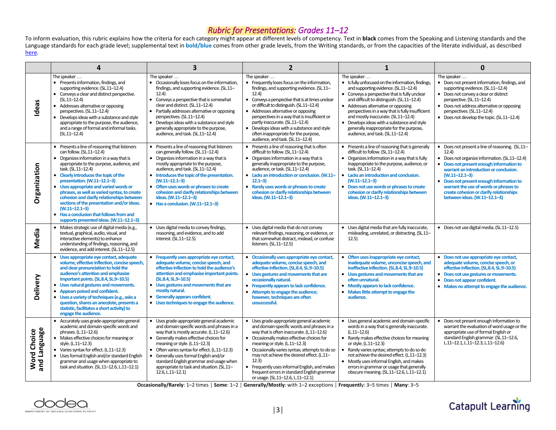## *Rubric for Presentations: Grades 11–12*

To inform evaluation, this rubric explains how the criteria for each category might appear at different levels of competency. Text in **black** comes from the Speaking and Listening standards and the Language standards for each grade level; supplemental text in **bold/blue** comes from other grade levels, from the Writing standards, or from the capacities of the literate individual, as described here.

|                                    | 4                                                                                                                                                                                                                                                                                                                                                                                                                                                                                                                                                                  | $\overline{\mathbf{3}}$                                                                                                                                                                                                                                                                                                                                                                                                                                | $\overline{2}$                                                                                                                                                                                                                                                                                                                                                                                                                                                                    | 1                                                                                                                                                                                                                                                                                                                                                                                                                                                                          | $\bf{0}$                                                                                                                                                                                                                                                                                                                                                                                 |
|------------------------------------|--------------------------------------------------------------------------------------------------------------------------------------------------------------------------------------------------------------------------------------------------------------------------------------------------------------------------------------------------------------------------------------------------------------------------------------------------------------------------------------------------------------------------------------------------------------------|--------------------------------------------------------------------------------------------------------------------------------------------------------------------------------------------------------------------------------------------------------------------------------------------------------------------------------------------------------------------------------------------------------------------------------------------------------|-----------------------------------------------------------------------------------------------------------------------------------------------------------------------------------------------------------------------------------------------------------------------------------------------------------------------------------------------------------------------------------------------------------------------------------------------------------------------------------|----------------------------------------------------------------------------------------------------------------------------------------------------------------------------------------------------------------------------------------------------------------------------------------------------------------------------------------------------------------------------------------------------------------------------------------------------------------------------|------------------------------------------------------------------------------------------------------------------------------------------------------------------------------------------------------------------------------------------------------------------------------------------------------------------------------------------------------------------------------------------|
| Ideas                              | The speaker<br>• Presents information, findings, and<br>supporting evidence. (SL.11-12.4)<br>• Conveys a clear and distinct perspective.<br>$(SL.11-12.4)$<br>• Addresses alternative or opposing<br>perspectives. (SL.11-12.4)<br>Develops ideas with a substance and style<br>appropriate to the purpose, the audience,<br>and a range of formal and informal tasks.<br>$(SL.11-12.4)$                                                                                                                                                                           | The speaker $\dots$<br>• Occasionally loses focus on the information,<br>findings, and supporting evidence. (SL.11-<br>12.4<br>Conveys a perspective that is somewhat<br>$\bullet$<br>clear and distinct. (SL.11-12.4)<br>Partially addresses alternative or opposing<br>perspectives. (SL.11-12.4)<br>Develops ideas with a substance and style<br>generally appropriate to the purpose,<br>audience, and task. (SL.11-12.4)                          | The speaker $\dots$<br>• Frequently loses focus on the information,<br>findings, and supporting evidence. (SL.11-<br>12.4)<br>• Conveys a perspective that is at times unclear<br>or difficult to distinguish. (SL.11-12.4)<br>• Addresses alternative or opposing<br>perspectives in a way that is insufficient or<br>partly inaccurate. (SL.11-12.4)<br>• Develops ideas with a substance and style<br>often inappropriate for the purpose,<br>audience, and task. (SL.11-12.4) | The speaker<br>• Is fully unfocused on the information, findings,<br>and supporting evidence. (SL.11-12.4)<br>• Conveys a perspective that is fully unclear<br>and difficult to distinguish. (SL.11-12.4)<br>• Addresses alternative or opposing<br>perspectives in a way that is fully insufficient<br>and mostly inaccurate. (SL.11-12.4)<br>• Develops ideas with a substance and style<br>generally inappropriate for the purpose,<br>audience, and task. (SL.11-12.4) | The speaker<br>• Does not present information, findings, and<br>supporting evidence. (SL.11-12.4)<br>• Does not convey a clear or distinct<br>perspective. (SL.11-12.4)<br>• Does not address alternative or opposing<br>perspectives. (SL.11-12.4)<br>• Does not develop the topic. (SL.11-12.4)                                                                                        |
| Organization                       | • Presents a line of reasoning that listeners<br>can follow. (SL.11-12.4)<br>• Organizes information in a way that is<br>appropriate to the purpose, audience, and<br>task. (SL.11-12.4)<br>• Clearly introduces the topic of the<br>presentation. (W.11-12.1-3)<br>Uses appropriate and varied words or<br>phrases, as well as varied syntax, to create<br>cohesion and clarify relationships between<br>sections of the presentation and/or ideas.<br>$(W.11 - 12.1 - 3)$<br>• Has a conclusion that follows from and<br>supports presented ideas. (W.11-12.1-3) | Presents a line of reasoning that listeners<br>$\bullet$<br>can generally follow. (SL.11-12.4)<br>• Organizes information in a way that is<br>mostly appropriate to the purpose,<br>audience, and task. (SL.11-12.4)<br>• Introduces the topic of the presentation.<br>$(W.11 - 12.1 - 3)$<br>Often uses words or phrases to create<br>cohesion and clarify relationships between<br>ideas. (W.11-12.1-3)<br>$\bullet$ Has a conclusion. (W.11-12.1-3) | • Presents a line of reasoning that is often<br>difficult to follow. (SL.11-12.4)<br>• Organizes information in a way that is<br>generally inappropriate to the purpose,<br>audience, or task. (SL.11-12.4)<br>• Lacks an introduction or conclusion. (W.11-<br>$12.1 - 3$<br>• Rarely uses words or phrases to create<br>cohesion or clarify relationships between<br>ideas. (W.11-12.1-3)                                                                                       | • Presents a line of reasoning that is generally<br>difficult to follow. (SL.11-12.4)<br>• Organizes information in a way that is fully<br>inappropriate to the purpose, audience, or<br>task. (SL.11-12.4)<br>• Lacks an introduction and conclusion.<br>$(W.11 - 12.1 - 3)$<br>• Does not use words or phrases to create<br>cohesion or darify relationships between<br>ideas. (W.11-12.1-3)                                                                             | • Does not present a line of reasoning. (SL.11-<br>12.4)<br>• Does not organize information. (SL.11-12.4)<br>• Does not present enough information to<br>warrant an introduction or conclusion.<br>$(W.11 - 12.1 - 3)$<br>• Does not present enough information to<br>warrant the use of words or phrases to<br>create cohesion or clarify relationships<br>between ideas. (W.11-12.1-3) |
| Media                              | · Makes strategic use of digital media (e.g.,<br>textual, graphical, audio, visual, and<br>interactive elements) to enhance<br>understanding of findings, reasoning, and<br>evidence, and add interest. (SL.11-12.5)                                                                                                                                                                                                                                                                                                                                               | • Uses digital media to convey findings,<br>reasoning, and evidence, and to add<br>interest. (SL.11-12.5)                                                                                                                                                                                                                                                                                                                                              | • Uses digital media that do not convey<br>relevant findings, reasoning, or evidence, or<br>that somewhat distract, mislead, or confuse<br>listeners. (SL.11-12.5)                                                                                                                                                                                                                                                                                                                | • Uses digital media that are fully inaccurate,<br>misleading, unrelated, or distracting. (SL.11-<br>12.5)                                                                                                                                                                                                                                                                                                                                                                 | • Does not use digital media. (SL.11-12.5)                                                                                                                                                                                                                                                                                                                                               |
| Delivery                           | • Uses appropriate eye contact, adequate<br>volume, effective inflection, concise speech,<br>and clear pronunciation to hold the<br>audience's attention and emphasize<br>important points. (SL.8.4, SL.9-10.5)<br>• Uses natural gestures and movements.<br>Appears poised and confident.<br>Uses a variety of techniques (e.g., asks a<br>$\bullet$<br>question, shares an anecdote, presents a<br>statistic, facilitates a short activity) to<br>engage the audience.                                                                                           | • Frequently uses appropriate eye contact,<br>adequate volume, concise speech, and<br>effective inflection to hold the audience's<br>attention and emphasize important points.<br>(SL.8.4, SL.9-10.5)<br>• Uses gestures and movements that are<br>mostly natural.<br><b>Generally appears confident.</b><br>• Uses techniques to engage the audience.                                                                                                 | Occasionally uses appropriate eye contact,<br>$\bullet$<br>adequate volume, concise speech, and<br>effective inflection. (SL.8.4, SL.9-10.5)<br>• Uses gestures and movements that are<br>occasionally natural.<br>• Frequently appears to lack confidence.<br>Attempts to engage the audience;<br>$\bullet$<br>however, techniques are often<br>unsuccessful.                                                                                                                    | • Often uses inappropriate eye contact,<br>inadequate volume, unconcise speech, and<br>ineffective inflection. (SL.8.4, SL.9-10.5)<br>• Uses gestures and movements that are<br>often unnatural.<br>• Mostly appears to lack confidence.<br>• Makes little attempt to engage the<br>audience.                                                                                                                                                                              | • Does not use appropriate eye contact,<br>adequate volume, concise speech, or<br>effective inflection. (SL.8.4, SL.9-10.5)<br>• Does not use gestures or movements.<br>• Does not appear confident.<br>• Makes no attempt to engage the audience.                                                                                                                                       |
| and Language<br><b>Word Choice</b> | • Accurately uses grade-appropriate general<br>academic and domain-specific words and<br>phrases. (L.11-12.6)<br>• Makes effective choices for meaning or<br>style. (L.11-12.3)<br>• Varies syntax for effect. (L.11-12.3)<br>• Uses formal English and/or standard English<br>grammar and usage when appropriate to<br>task and situation. (SL.11-12.6, L.11-12.1)                                                                                                                                                                                                | • Uses grade-appropriate general academic<br>and domain-specific words and phrases in a<br>way that is mostly accurate. (L.11-12.6)<br>• Generally makes effective choices for<br>meaning or style. (L.11-12.3)<br>• Often varies syntax for effect. (L.11-12.3)<br>Generally uses formal English and/or<br>standard English grammar and usage when<br>appropriate to task and situation. (SL.11-<br>$12.6$ , L. $11 - 12.1$                           | • Uses grade-appropriate general academic<br>and domain-specific words and phrases in a<br>way that is often inaccurate. (L.11-12.6)<br>• Occasionally makes effective choices for<br>meaning or style. (L.11-12.3)<br>• Occasionally varies syntax; attempts to do so<br>may not achieve the desired effect. (L.11-<br>12.3)<br>• Frequently uses informal English, and makes<br>frequent errors in standard English grammar<br>or usage. (SL.11-12.6, L.11-12.1)                | • Uses general academic and domain-specific<br>words in a way that is generally inaccurate.<br>$(L.11-12.6)$<br>• Rarely makes effective choices for meaning<br>or style. (L.11-12.3)<br>Rarely varies syntax; attempts to do so do<br>$\bullet$<br>not achieve the desired effect. (L.11-12.3)<br>• Mostly uses informal English, and makes<br>errors in grammar or usage that generally<br>obscure meaning. (SL.11-12.6, L.11-12.1)                                      | • Does not present enough information to<br>warrant the evaluation of word usage or the<br>appropriate use of formal English or<br>standard English grammar. (SL.11-12.6,<br>L.11-12.1, L.11-12.3, L.11-12.6)                                                                                                                                                                            |

**Occasionally/Rarely**: 1–2 times │ **Some**: 1–<sup>2</sup> │ **Generally/Mostly**: with 1–2 exceptions │ **Frequentl**y: 3–5 times │ **Many**: 3–<sup>5</sup>